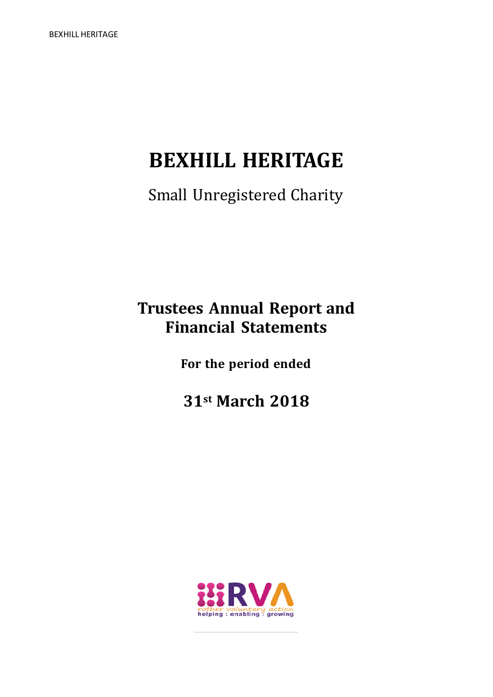# **BEXHILL HERITAGE**

Small Unregistered Charity

# **Trustees Annual Report and Financial Statements**

**For the period ended**

**31st March 2018**

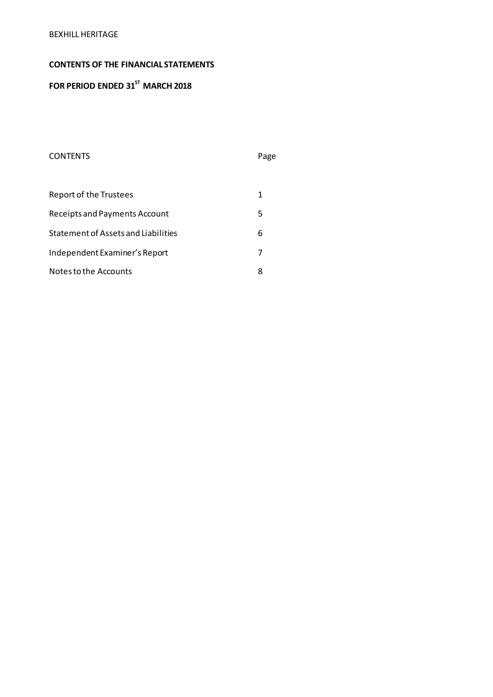# **CONTENTS OF THE FINANCIAL STATEMENTS**

# **FOR PERIOD ENDED 31 ST MARCH 2018**

# CONTENTS Page

| <b>Report of the Trustees</b>       |   |
|-------------------------------------|---|
| Receipts and Payments Account       | 5 |
| Statement of Assets and Liabilities | 6 |
| Independent Examiner's Report       | 7 |
| Notes to the Accounts               |   |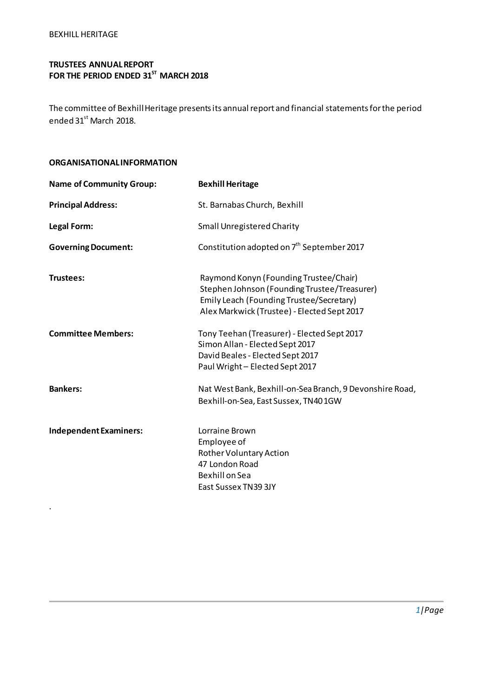.

# **TRUSTEES ANNUAL REPORT FOR THE PERIOD ENDED 31ST MARCH 2018**

The committee of Bexhill Heritage presents its annual report and financial statements for the period ended 31<sup>st</sup> March 2018.

# **ORGANISATIONAL INFORMATION**

| <b>Name of Community Group:</b> | <b>Bexhill Heritage</b>                                                                                                                                                           |
|---------------------------------|-----------------------------------------------------------------------------------------------------------------------------------------------------------------------------------|
| <b>Principal Address:</b>       | St. Barnabas Church, Bexhill                                                                                                                                                      |
| Legal Form:                     | <b>Small Unregistered Charity</b>                                                                                                                                                 |
| <b>Governing Document:</b>      | Constitution adopted on 7 <sup>th</sup> September 2017                                                                                                                            |
| Trustees:                       | Raymond Konyn (Founding Trustee/Chair)<br>Stephen Johnson (Founding Trustee/Treasurer)<br>Emily Leach (Founding Trustee/Secretary)<br>Alex Markwick (Trustee) - Elected Sept 2017 |
| <b>Committee Members:</b>       | Tony Teehan (Treasurer) - Elected Sept 2017<br>Simon Allan - Elected Sept 2017<br>David Beales - Elected Sept 2017<br>Paul Wright-Elected Sept 2017                               |
| <b>Bankers:</b>                 | Nat West Bank, Bexhill-on-Sea Branch, 9 Devonshire Road,<br>Bexhill-on-Sea, East Sussex, TN401GW                                                                                  |
| <b>Independent Examiners:</b>   | Lorraine Brown<br>Employee of<br>Rother Voluntary Action<br>47 London Road<br>Bexhill on Sea<br>East Sussex TN39 3JY                                                              |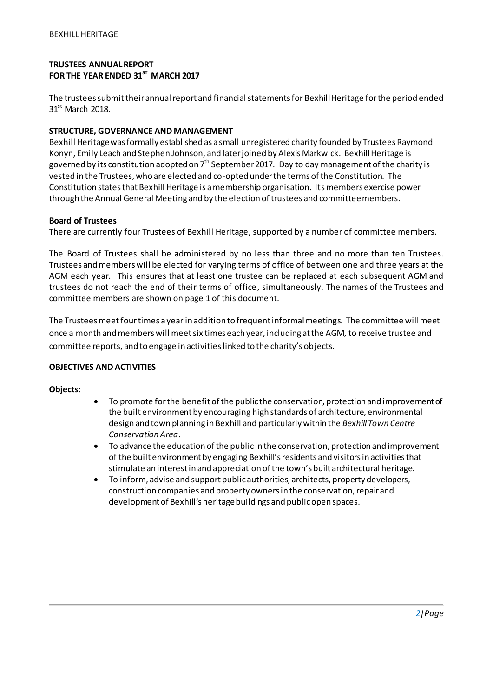# **TRUSTEES ANNUAL REPORT FOR THE YEAR ENDED 31ST MARCH 2017**

The trustees submittheir annual report and financial statements for Bexhill Heritage for the period ended  $31<sup>st</sup>$  March 2018.

# **STRUCTURE, GOVERNANCE AND MANAGEMENT**

Bexhill Heritage was formally established as a small unregistered charity founded by Trustees Raymond Konyn, Emily Leach and Stephen Johnson, and later joined by Alexis Markwick. Bexhill Heritage is governed by its constitution adopted on  $7<sup>th</sup>$  September 2017. Day to day management of the charity is vested in the Trustees, who are elected and co-opted under the terms of the Constitution. The Constitution states that Bexhill Heritage is a membership organisation. Its members exercise power through the Annual General Meeting and by the election of trustees and committee members.

#### **Board of Trustees**

There are currently four Trustees of Bexhill Heritage, supported by a number of committee members.

The Board of Trustees shall be administered by no less than three and no more than ten Trustees. Trustees and members will be elected for varying terms of office of between one and three years at the AGM each year. This ensures that at least one trustee can be replaced at each subsequent AGM and trustees do not reach the end of their terms of office, simultaneously. The names of the Trustees and committee members are shown on page 1 of this document.

The Trustees meet fourtimes a year in addition to frequent informal meetings. The committee will meet once a month and members will meet six times each year, including at the AGM, to receive trustee and committee reports, and to engage in activities linked to the charity's objects.

# **OBJECTIVES AND ACTIVITIES**

# **Objects:**

- To promote for the benefit of the public the conservation, protection and improvement of the built environment by encouraging high standards of architecture, environmental design and town planning in Bexhill and particularly within the *Bexhill Town Centre Conservation Area*.
- To advance the education of the public in the conservation, protection and improvement of the built environment by engaging Bexhill's residents and visitors in activities that stimulate an interest in and appreciation of the town's built architectural heritage.
- To inform, advise and support public authorities, architects, property developers, construction companies and property owners in the conservation, repair and development of Bexhill's heritage buildings and public open spaces.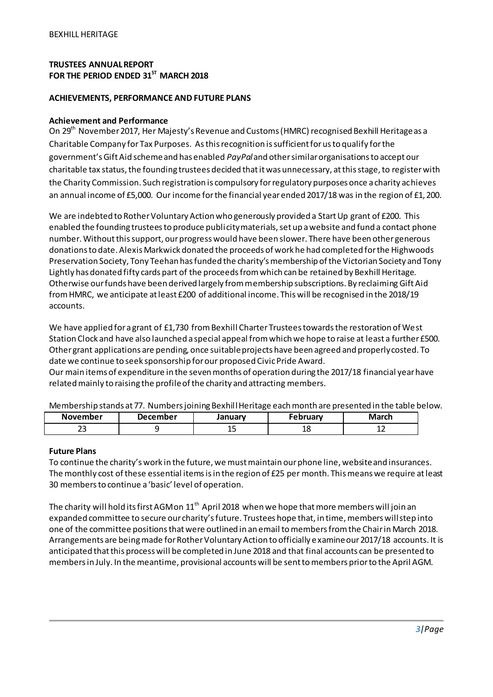# **TRUSTEES ANNUAL REPORT FOR THE PERIOD ENDED 31ST MARCH 2018**

#### **ACHIEVEMENTS, PERFORMANCE AND FUTURE PLANS**

#### **Achievement and Performance**

On 29<sup>th</sup> November 2017, Her Majesty's Revenue and Customs (HMRC) recognised Bexhill Heritage as a Charitable Company for Tax Purposes. As this recognition is sufficient for us to qualify for the government's Gift Aid scheme and has enabled *PayPal*and other similar organisations to accept our charitable tax status, the founding trustees decided that it was unnecessary, at this stage, to register with the Charity Commission. Such registration is compulsory for regulatory purposes once a charity achieves an annual income of £5,000. Our income for the financial year ended 2017/18 was in the region of £1,200.

We are indebted to Rother Voluntary Action who generously provided a Start Up grant of £200. This enabled the founding trustees to produce publicity materials, set up a website and fund a contact phone number. Without this support, our progress would have been slower. There have been other generous donations to date. Alexis Markwick donated the proceeds of work he had completed for the Highwoods Preservation Society, Tony Teehan has funded the charity's membership of the Victorian Society and Tony Lightly has donated fifty cards part of the proceeds from which can be retained by Bexhill Heritage. Otherwise our funds have been derived largely from membership subscriptions. By reclaiming Gift Aid from HMRC, we anticipate at least £200 of additional income. This will be recognised in the 2018/19 accounts.

We have applied for a grant of £1,730 from Bexhill Charter Trustees towards the restoration of West Station Clock and have also launched a special appeal from which we hope to raise at least a further £500. Other grant applications are pending, once suitable projects have been agreed and properly costed. To date we continue to seek sponsorship for our proposed Civic Pride Award. Our main items of expenditure in the seven months of operation during the 2017/18 financial year have related mainly to raising the profile of the charity and attracting members.

Membership stands at 77. Numbers joining Bexhill Heritage each month are presented in the table below.

| November    | December | January | February | March |
|-------------|----------|---------|----------|-------|
| $\sim$<br>ت |          | --      | ŦО       | ᅩᄼ    |

#### **Future Plans**

To continue the charity's work in the future, we must maintain our phone line, website and insurances. The monthly cost of these essential items is in the region of £25 per month. This means we require at least 30 members to continue a 'basic' level of operation.

The charity will hold its first AGM on  $11<sup>th</sup>$  April 2018 when we hope that more members will join an expanded committee to secure our charity's future. Trustees hope that, in time, members will step into one of the committee positions that were outlined in an email to members from the Chair in March 2018. Arrangements are being made for Rother Voluntary Action to officially examine our 2017/18 accounts. It is anticipated that this process will be completed in June 2018 and that final accounts can be presented to members in July. In the meantime, provisional accounts will be sent to members prior to the April AGM.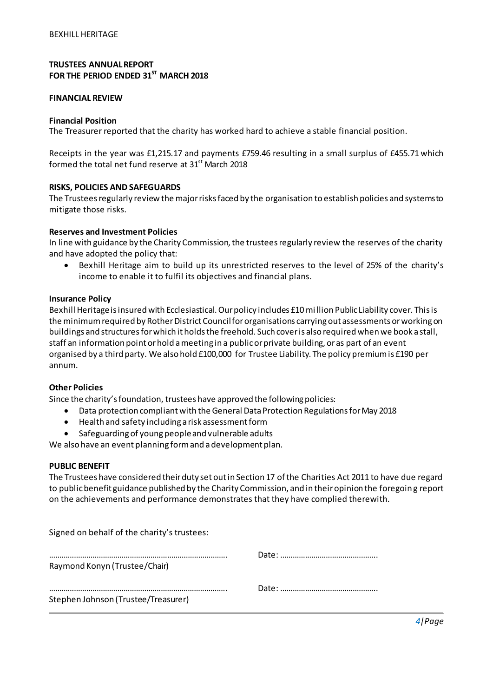# **TRUSTEES ANNUAL REPORT FOR THE PERIOD ENDED 31ST MARCH 2018**

#### **FINANCIAL REVIEW**

#### **Financial Position**

The Treasurer reported that the charity has worked hard to achieve a stable financial position.

Receipts in the year was £1,215.17 and payments £759.46 resulting in a small surplus of £455.71 which formed the total net fund reserve at  $31<sup>st</sup>$  March 2018

#### **RISKS, POLICIES AND SAFEGUARDS**

The Trustees regularly review the major risks faced by the organisation to establish policies and systems to mitigate those risks.

#### **Reserves and Investment Policies**

In line with guidance by the Charity Commission, the trustees regularly review the reserves of the charity and have adopted the policy that:

 Bexhill Heritage aim to build up its unrestricted reserves to the level of 25% of the charity's income to enable it to fulfil its objectives and financial plans.

#### **Insurance Policy**

Bexhill Heritage is insured with Ecclesiastical. Our policy includes £10 million Public Liability cover. This is the minimum required by Rother District Council for organisations carrying out assessments or working on buildings and structures for which it holds the freehold. Such cover is also required when we book a stall, staff an information point or hold a meeting in a public or private building, or as part of an event organised by a third party. We also hold £100,000 for Trustee Liability. The policy premium is £190 per annum.

#### **Other Policies**

Since the charity's foundation, trustees have approved the following policies:

- Data protection compliant with the General Data Protection Regulations for May 2018
- Health and safety including a risk assessment form
- Safeguarding of young people and vulnerable adults

We also have an event planning form and a development plan.

#### **PUBLIC BENEFIT**

The Trustees have considered their duty set out in Section 17 of the Charities Act 2011 to have due regard to public benefit guidance published by the Charity Commission, and in their opinion the foregoing report on the achievements and performance demonstrates that they have complied therewith.

| Signed on behalf of the charity's trustees: |  |
|---------------------------------------------|--|
|                                             |  |
| Raymond Konyn (Trustee/Chair)               |  |
|                                             |  |
| Stephen Johnson (Trustee/Treasurer)         |  |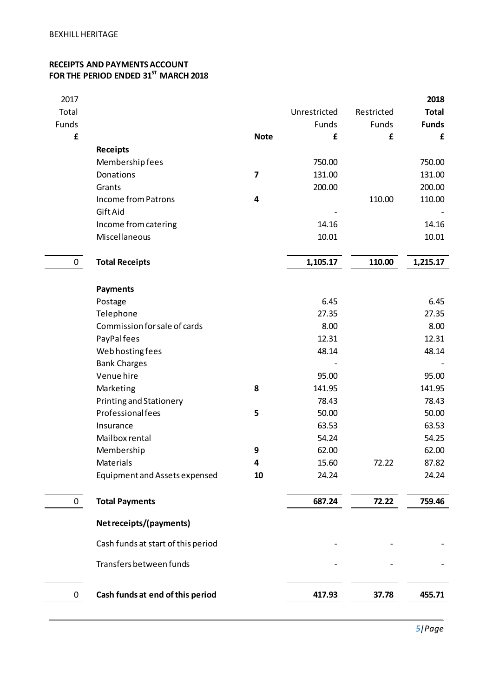# **RECEIPTS AND PAYMENTS ACCOUNT FOR THE PERIOD ENDED 31 ST MARCH 2018**

| 2017         |                                    |             |              |            | 2018         |
|--------------|------------------------------------|-------------|--------------|------------|--------------|
| Total        |                                    |             | Unrestricted | Restricted | <b>Total</b> |
| Funds        |                                    |             | Funds        | Funds      | <b>Funds</b> |
| £            |                                    | <b>Note</b> | £            | £          | £            |
|              | <b>Receipts</b>                    |             |              |            |              |
|              | Membership fees                    |             | 750.00       |            | 750.00       |
|              | Donations                          | 7           | 131.00       |            | 131.00       |
|              | Grants                             |             | 200.00       |            | 200.00       |
|              | <b>Income from Patrons</b>         | 4           |              | 110.00     | 110.00       |
|              | Gift Aid                           |             |              |            |              |
|              | Income from catering               |             | 14.16        |            | 14.16        |
|              | Miscellaneous                      |             | 10.01        |            | 10.01        |
| $\mathbf 0$  | <b>Total Receipts</b>              |             | 1,105.17     | 110.00     | 1,215.17     |
|              | <b>Payments</b>                    |             |              |            |              |
|              | Postage                            |             | 6.45         |            | 6.45         |
|              | Telephone                          |             | 27.35        |            | 27.35        |
|              | Commission for sale of cards       |             | 8.00         |            | 8.00         |
|              | PayPal fees                        |             | 12.31        |            | 12.31        |
|              | Web hosting fees                   |             | 48.14        |            | 48.14        |
|              | <b>Bank Charges</b>                |             |              |            |              |
|              | Venue hire                         |             | 95.00        |            | 95.00        |
|              | Marketing                          | 8           | 141.95       |            | 141.95       |
|              | <b>Printing and Stationery</b>     |             | 78.43        |            | 78.43        |
|              | Professionalfees                   | 5           | 50.00        |            | 50.00        |
|              | Insurance                          |             | 63.53        |            | 63.53        |
|              | Mailbox rental                     |             | 54.24        |            | 54.25        |
|              | Membership                         | 9           | 62.00        |            | 62.00        |
|              | Materials                          | 4           | 15.60        | 72.22      | 87.82        |
|              | Equipment and Assets expensed      | 10          | 24.24        |            | 24.24        |
| 0            | <b>Total Payments</b>              |             | 687.24       | 72.22      | 759.46       |
|              | Net receipts/(payments)            |             |              |            |              |
|              | Cash funds at start of this period |             |              |            |              |
|              | Transfers between funds            |             |              |            |              |
| $\mathbf{0}$ | Cash funds at end of this period   |             | 417.93       | 37.78      | 455.71       |
|              |                                    |             |              |            |              |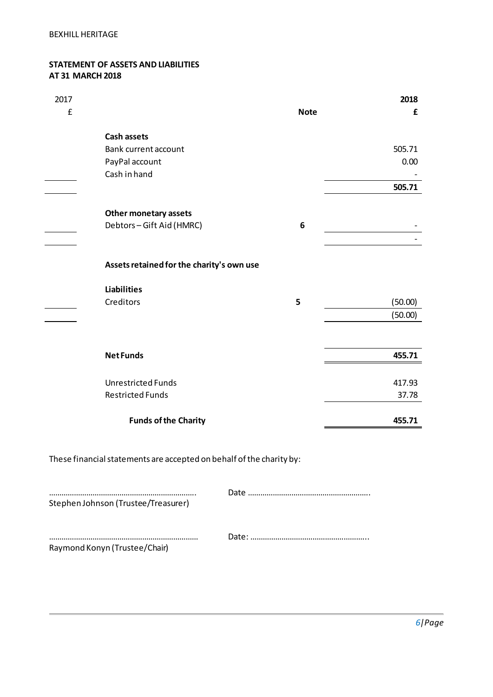#### **STATEMENT OF ASSETS AND LIABILITIES AT 31 MARCH 2018**

| 2017<br>£ |                                           | <b>Note</b> | 2018<br>£ |
|-----------|-------------------------------------------|-------------|-----------|
|           |                                           |             |           |
|           | <b>Cash assets</b>                        |             |           |
|           | Bank current account                      |             | 505.71    |
|           | PayPal account                            |             | 0.00      |
|           | Cash in hand                              |             |           |
|           |                                           |             | 505.71    |
|           |                                           |             |           |
|           | <b>Other monetary assets</b>              |             |           |
|           | Debtors-Gift Aid (HMRC)                   | 6           |           |
|           |                                           |             |           |
|           |                                           |             |           |
|           | Assets retained for the charity's own use |             |           |
|           |                                           |             |           |
|           | <b>Liabilities</b>                        |             |           |
|           | Creditors                                 | 5           | (50.00)   |
|           |                                           |             | (50.00)   |
|           |                                           |             |           |
|           |                                           |             |           |
|           | <b>NetFunds</b>                           |             | 455.71    |
|           | <b>Unrestricted Funds</b>                 |             |           |
|           |                                           |             | 417.93    |
|           | <b>Restricted Funds</b>                   |             | 37.78     |
|           | <b>Funds of the Charity</b>               |             | 455.71    |
|           |                                           |             |           |

These financial statements are accepted on behalf of the charity by:

…………………………………………………………….. Date ………………………………………………….. Stephen Johnson (Trustee/Treasurer)

……………………………………………………………… Date: ………………………………………………... Raymond Konyn (Trustee/Chair)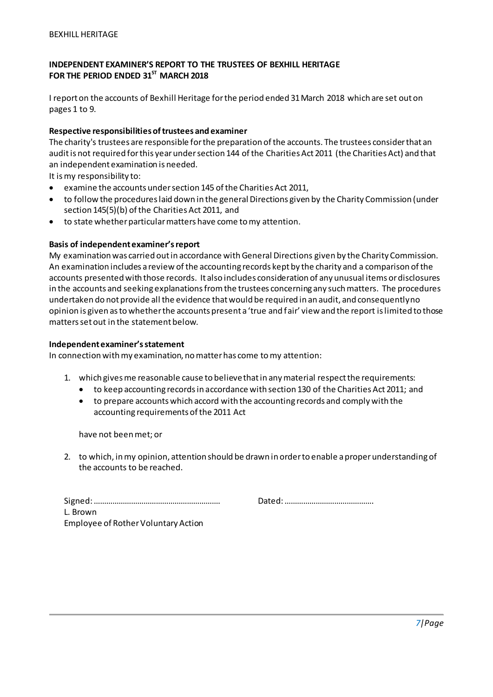# **INDEPENDENT EXAMINER'S REPORT TO THE TRUSTEES OF BEXHILL HERITAGE FOR THE PERIOD ENDED 31 ST MARCH 2018**

I report on the accounts of Bexhill Heritage for the period ended 31 March 2018 which are set out on pages 1 to 9.

#### **Respective responsibilities of trustees and examiner**

The charity's trustees are responsible for the preparation of the accounts. The trustees consider that an audit is not required for this year under section 144 of the Charities Act 2011 (the Charities Act) and that an independent examination is needed.

It is my responsibility to:

- examine the accounts under section 145 of the Charities Act 2011,
- to follow the procedures laid down in the general Directions given by the Charity Commission (under section 145(5)(b) of the Charities Act 2011, and
- to state whether particular matters have come to my attention.

#### **Basis of independent examiner's report**

My examination was carried out in accordance with General Directions given by the Charity Commission. An examination includes a review of the accounting records kept by the charity and a comparison of the accounts presented with those records. It also includes consideration of any unusual items or disclosures in the accounts and seeking explanations from the trustees concerning any such matters. The procedures undertaken do not provide all the evidence that would be required in an audit, and consequently no opinion is given as to whether the accounts present a 'true and fair' view and the report is limited to those matters set out in the statement below.

#### **Independent examiner's statement**

In connection with my examination, no matter has come to my attention:

- 1. which gives me reasonable cause to believe that in any material respect the requirements:
	- to keep accounting records in accordance with section 130 of the Charities Act 2011; and
	- to prepare accounts which accord with the accounting records and comply with the accounting requirements of the 2011 Act

have not been met; or

2. to which, in my opinion, attention should be drawn in order to enable a proper understanding of the accounts to be reached.

|                                     | Dated: |
|-------------------------------------|--------|
| L. Brown                            |        |
| Employee of Rother Voluntary Action |        |

Signed: ……………………………………………………. Dated: …………………………………….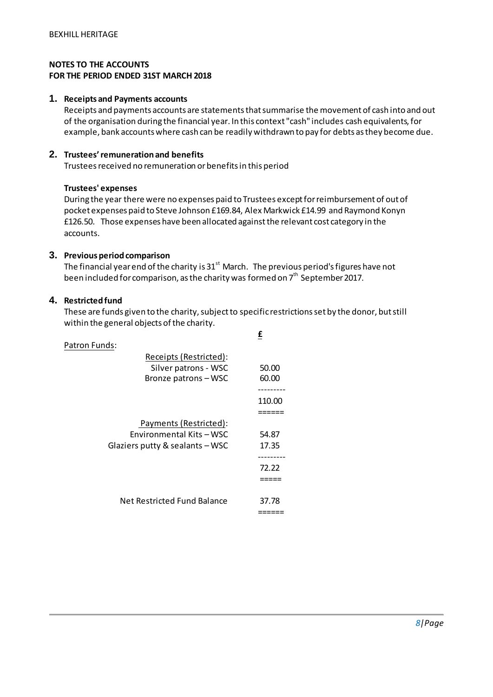# **NOTES TO THE ACCOUNTS FOR THE PERIOD ENDED 31ST MARCH 2018**

#### **1. Receipts and Payments accounts**

Receipts and payments accounts are statements that summarise the movement of cash into and out of the organisation during the financial year. In this context "cash" includes cash equivalents, for example, bank accounts where cash can be readily withdrawn to pay for debts as they become due.

# **2. Trustees' remuneration and benefits**

Trustees received no remuneration or benefits in this period

#### **Trustees' expenses**

During the year there were no expenses paid to Trustees exceptfor reimbursement of out of pocket expenses paid to Steve Johnson £169.84, Alex Markwick £14.99 and Raymond Konyn £126.50. Those expenses have been allocated against the relevant cost category in the accounts.

#### **3. Previous period comparison**

The financial year end of the charity is  $31<sup>st</sup>$  March. The previous period's figures have not been included for comparison, as the charity was formed on  $7<sup>th</sup>$  September 2017.

#### **4. Restricted fund**

These are funds given to the charity, subject to specific restrictions set by the donor, but still within the general objects of the charity.

**£**

| Patron Funds:                   |        |
|---------------------------------|--------|
| Receipts (Restricted):          |        |
| Silver patrons - WSC            | 50.00  |
| Bronze patrons-WSC              | 60.00  |
|                                 |        |
|                                 | 110.00 |
|                                 |        |
| Payments (Restricted):          |        |
| Environmental Kits - WSC        | 54.87  |
| Glaziers putty & sealants - WSC | 17.35  |
|                                 |        |
|                                 | 72.22  |
|                                 |        |
|                                 |        |
| Net Restricted Fund Balance     | 37.78  |
|                                 |        |
|                                 |        |